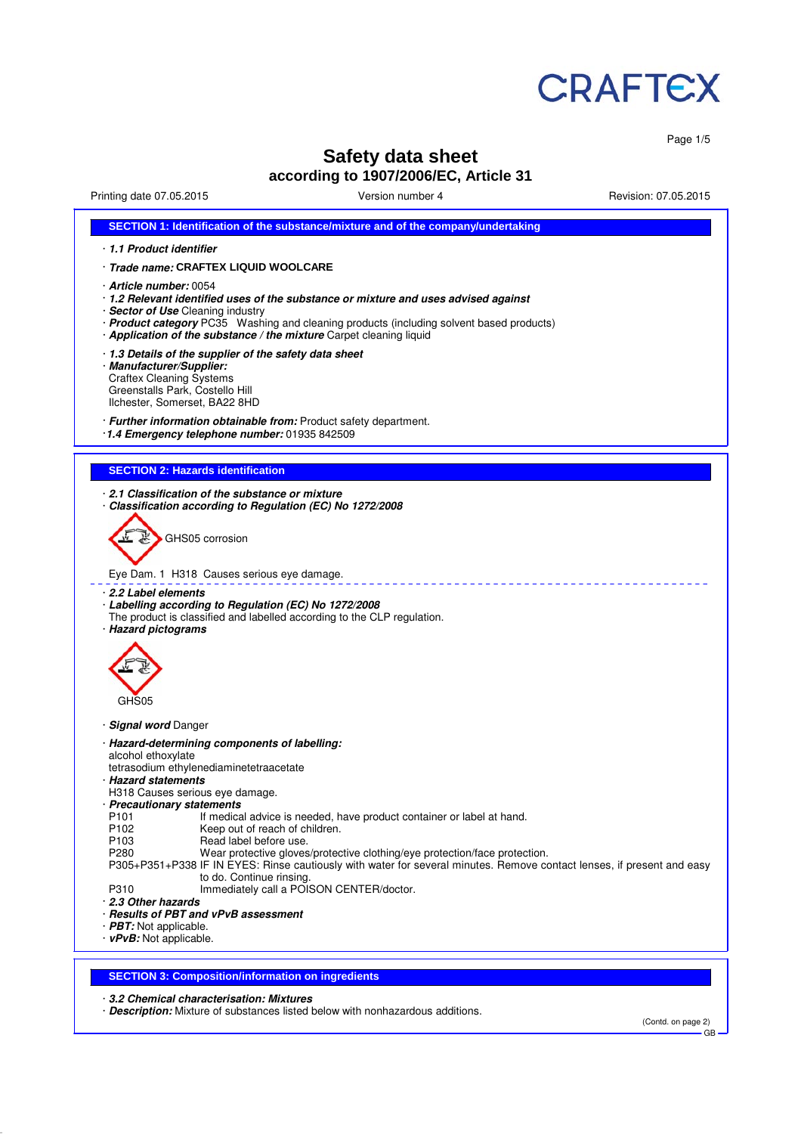

Page 1/5

# **Safety data sheet**

## **according to 1907/2006/EC, Article 31**

Printing date 07.05.2015 Version number 4 Revision: 07.05.2015

| 1.1 Product identifier<br>· Trade name: CRAFTEX LIQUID WOOLCARE<br><b>Craftex Cleaning Systems</b><br>Greenstalls Park, Costello Hill<br>Ilchester, Somerset, BA22 8HD<br><b>SECTION 2: Hazards identification</b><br>GHS05 corrosion<br>Eye Dam. 1 H318 Causes serious eye damage.<br>· 2.2 Label elements<br>· Labelling according to Regulation (EC) No 1272/2008<br>The product is classified and labelled according to the CLP regulation.<br>GHS05<br>alcohol ethoxylate<br>tetrasodium ethylenediaminetetraacetate<br>H318 Causes serious eye damage.<br>P <sub>101</sub><br>If medical advice is needed, have product container or label at hand.<br>P <sub>102</sub><br>Keep out of reach of children.<br>Read label before use.<br>P <sub>103</sub><br>P280<br>Wear protective gloves/protective clothing/eye protection/face protection.<br>P305+P351+P338 IF IN EYES: Rinse cautiously with water for several minutes. Remove contact lenses, if present and easy<br>to do. Continue rinsing.<br>P310<br>Immediately call a POISON CENTER/doctor. | SECTION 1: Identification of the substance/mixture and of the company/undertaking                                                                                                                                                                                                                                   |
|---------------------------------------------------------------------------------------------------------------------------------------------------------------------------------------------------------------------------------------------------------------------------------------------------------------------------------------------------------------------------------------------------------------------------------------------------------------------------------------------------------------------------------------------------------------------------------------------------------------------------------------------------------------------------------------------------------------------------------------------------------------------------------------------------------------------------------------------------------------------------------------------------------------------------------------------------------------------------------------------------------------------------------------------------------------|---------------------------------------------------------------------------------------------------------------------------------------------------------------------------------------------------------------------------------------------------------------------------------------------------------------------|
|                                                                                                                                                                                                                                                                                                                                                                                                                                                                                                                                                                                                                                                                                                                                                                                                                                                                                                                                                                                                                                                               |                                                                                                                                                                                                                                                                                                                     |
|                                                                                                                                                                                                                                                                                                                                                                                                                                                                                                                                                                                                                                                                                                                                                                                                                                                                                                                                                                                                                                                               |                                                                                                                                                                                                                                                                                                                     |
|                                                                                                                                                                                                                                                                                                                                                                                                                                                                                                                                                                                                                                                                                                                                                                                                                                                                                                                                                                                                                                                               | Article number: 0054<br>· 1.2 Relevant identified uses of the substance or mixture and uses advised against<br>· Sector of Use Cleaning industry<br>· Product category PC35 Washing and cleaning products (including solvent based products)<br>· Application of the substance / the mixture Carpet cleaning liquid |
|                                                                                                                                                                                                                                                                                                                                                                                                                                                                                                                                                                                                                                                                                                                                                                                                                                                                                                                                                                                                                                                               | 1.3 Details of the supplier of the safety data sheet<br>· Manufacturer/Supplier:                                                                                                                                                                                                                                    |
|                                                                                                                                                                                                                                                                                                                                                                                                                                                                                                                                                                                                                                                                                                                                                                                                                                                                                                                                                                                                                                                               | · Further information obtainable from: Product safety department.<br>1.4 Emergency telephone number: 01935 842509                                                                                                                                                                                                   |
|                                                                                                                                                                                                                                                                                                                                                                                                                                                                                                                                                                                                                                                                                                                                                                                                                                                                                                                                                                                                                                                               |                                                                                                                                                                                                                                                                                                                     |
|                                                                                                                                                                                                                                                                                                                                                                                                                                                                                                                                                                                                                                                                                                                                                                                                                                                                                                                                                                                                                                                               | 2.1 Classification of the substance or mixture<br>Classification according to Regulation (EC) No 1272/2008                                                                                                                                                                                                          |
|                                                                                                                                                                                                                                                                                                                                                                                                                                                                                                                                                                                                                                                                                                                                                                                                                                                                                                                                                                                                                                                               |                                                                                                                                                                                                                                                                                                                     |
|                                                                                                                                                                                                                                                                                                                                                                                                                                                                                                                                                                                                                                                                                                                                                                                                                                                                                                                                                                                                                                                               |                                                                                                                                                                                                                                                                                                                     |
|                                                                                                                                                                                                                                                                                                                                                                                                                                                                                                                                                                                                                                                                                                                                                                                                                                                                                                                                                                                                                                                               | · Hazard pictograms                                                                                                                                                                                                                                                                                                 |
|                                                                                                                                                                                                                                                                                                                                                                                                                                                                                                                                                                                                                                                                                                                                                                                                                                                                                                                                                                                                                                                               | · Signal word Danger                                                                                                                                                                                                                                                                                                |
|                                                                                                                                                                                                                                                                                                                                                                                                                                                                                                                                                                                                                                                                                                                                                                                                                                                                                                                                                                                                                                                               | · Hazard-determining components of labelling:<br>· Hazard statements<br>· Precautionary statements<br>2.3 Other hazards<br>· Results of PBT and vPvB assessment<br>· PBT: Not applicable.<br>$\cdot$ vPvB: Not applicable.                                                                                          |
|                                                                                                                                                                                                                                                                                                                                                                                                                                                                                                                                                                                                                                                                                                                                                                                                                                                                                                                                                                                                                                                               |                                                                                                                                                                                                                                                                                                                     |
| <b>SECTION 3: Composition/information on ingredients</b>                                                                                                                                                                                                                                                                                                                                                                                                                                                                                                                                                                                                                                                                                                                                                                                                                                                                                                                                                                                                      |                                                                                                                                                                                                                                                                                                                     |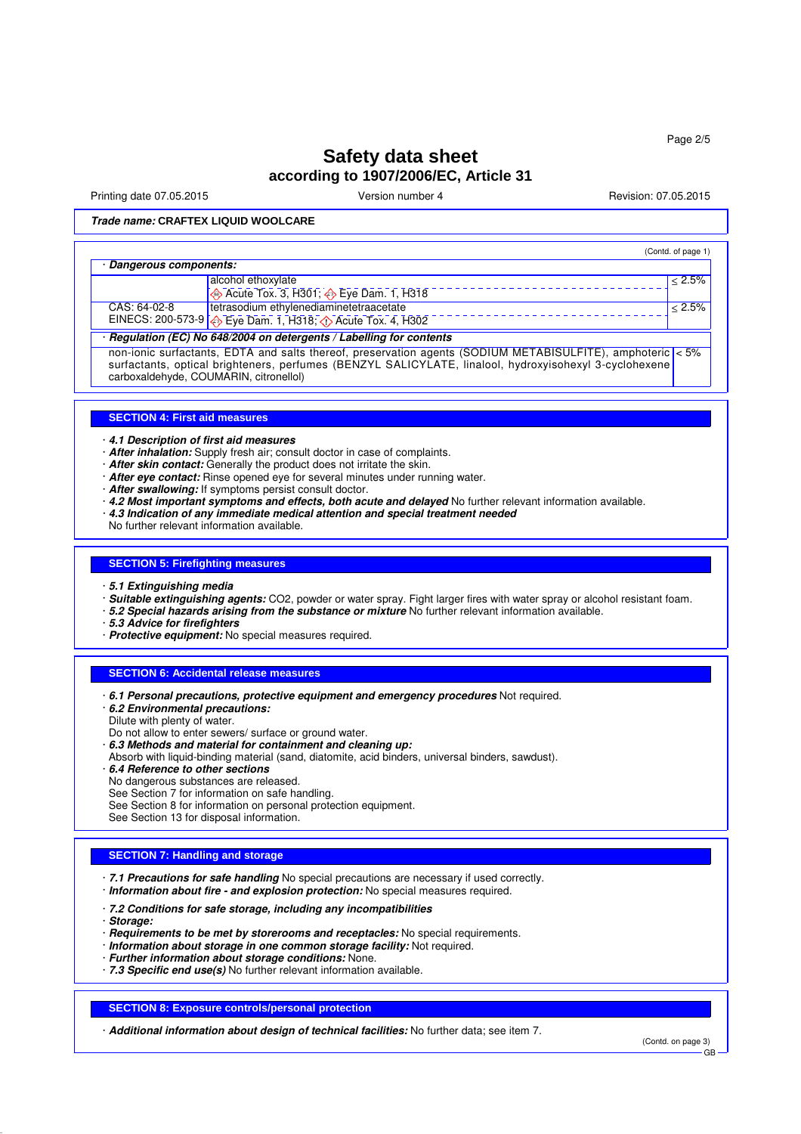# **Safety data sheet according to 1907/2006/EC, Article 31**

Printing date 07.05.2015 **Version number 4** Account 2008 2015 **Revision: 07.05.2015** 

(Contd. of page 1)

**Trade name: CRAFTEX LIQUID WOOLCARE**

#### · **Dangerous components:**

| <u>sangerous components.</u>                                         |                                                                                  |             |
|----------------------------------------------------------------------|----------------------------------------------------------------------------------|-------------|
|                                                                      | alcohol ethoxylate                                                               | < 2.5%      |
|                                                                      | $\leftrightarrow$ Acute Tox. 3, H301; $\leftrightarrow$ Eye Dam. 1, H318         |             |
| CAS: 64-02-8                                                         | tetrasodium ethylenediaminetetraacetate                                          | $1 < 2.5\%$ |
|                                                                      | EINECS: 200-573-9 $\bigotimes$ Eye Dam. 1, H318; $\bigotimes$ Acute Tox. 4, H302 |             |
| · Regulation (EC) No 648/2004 on detergents / Labelling for contents |                                                                                  |             |

non-ionic surfactants, EDTA and salts thereof, preservation agents (SODIUM METABISULFITE), amphoteric < 5% surfactants, optical brighteners, perfumes (BENZYL SALICYLATE, linalool, hydroxyisohexyl 3-cyclohexene carboxaldehyde, COUMARIN, citronellol)

### **SECTION 4: First aid measures**

· **4.1 Description of first aid measures**

- · **After inhalation:** Supply fresh air; consult doctor in case of complaints.
- · **After skin contact:** Generally the product does not irritate the skin.
- · **After eye contact:** Rinse opened eye for several minutes under running water.
- · **After swallowing:** If symptoms persist consult doctor.
- · **4.2 Most important symptoms and effects, both acute and delayed** No further relevant information available.
- · **4.3 Indication of any immediate medical attention and special treatment needed**
- No further relevant information available.

### **SECTION 5: Firefighting measures**

- · **5.1 Extinguishing media**
- · **Suitable extinguishing agents:** CO2, powder or water spray. Fight larger fires with water spray or alcohol resistant foam.
- · **5.2 Special hazards arising from the substance or mixture** No further relevant information available.
- · **5.3 Advice for firefighters**
- · **Protective equipment:** No special measures required.

#### **SECTION 6: Accidental release measures**

- · **6.1 Personal precautions, protective equipment and emergency procedures** Not required.
- · **6.2 Environmental precautions:**
- Dilute with plenty of water.
- Do not allow to enter sewers/ surface or ground water.
- · **6.3 Methods and material for containment and cleaning up:**
- Absorb with liquid-binding material (sand, diatomite, acid binders, universal binders, sawdust).
- · **6.4 Reference to other sections**
- No dangerous substances are released.
- See Section 7 for information on safe handling.
- See Section 8 for information on personal protection equipment.
- See Section 13 for disposal information.

### **SECTION 7: Handling and storage**

· **7.1 Precautions for safe handling** No special precautions are necessary if used correctly. · **Information about fire - and explosion protection:** No special measures required.

- · **7.2 Conditions for safe storage, including any incompatibilities**
- · **Storage:**
- · **Requirements to be met by storerooms and receptacles:** No special requirements.
- · **Information about storage in one common storage facility:** Not required.
- · **Further information about storage conditions:** None.
- · **7.3 Specific end use(s)** No further relevant information available.

#### **SECTION 8: Exposure controls/personal protection**

· **Additional information about design of technical facilities:** No further data; see item 7.

(Contd. on page 3)

GB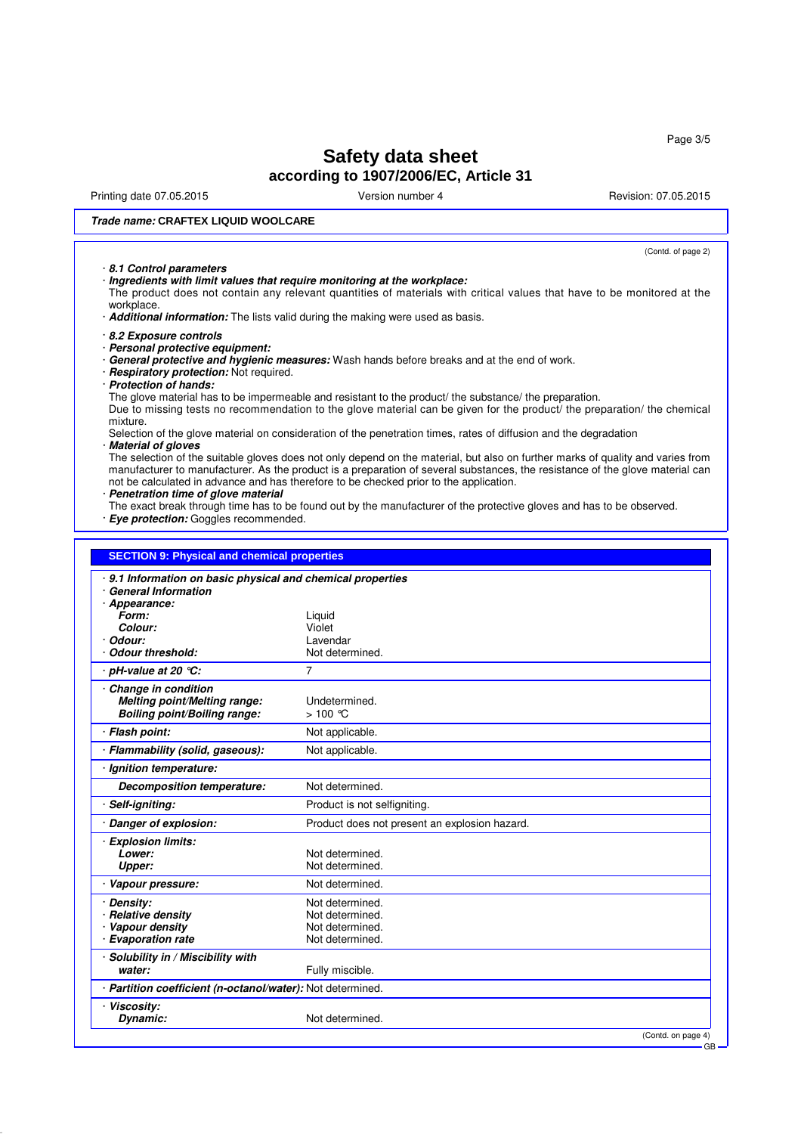Page 3/5

# **Safety data sheet according to 1907/2006/EC, Article 31**

Printing date 07.05.2015 **Version number 4** Account 2008 2015 **Revision: 07.05.2015** 

(Contd. of page 2)

### **Trade name: CRAFTEX LIQUID WOOLCARE**

### · **8.1 Control parameters**

· **Ingredients with limit values that require monitoring at the workplace:**

The product does not contain any relevant quantities of materials with critical values that have to be monitored at the workplace.

· **Additional information:** The lists valid during the making were used as basis.

- · **8.2 Exposure controls**
- · **Personal protective equipment:**

· **General protective and hygienic measures:** Wash hands before breaks and at the end of work.

- · **Respiratory protection:** Not required.
- · **Protection of hands:**

The glove material has to be impermeable and resistant to the product/ the substance/ the preparation.

Due to missing tests no recommendation to the glove material can be given for the product/ the preparation/ the chemical mixture.

#### Selection of the glove material on consideration of the penetration times, rates of diffusion and the degradation · **Material of gloves**

The selection of the suitable gloves does not only depend on the material, but also on further marks of quality and varies from manufacturer to manufacturer. As the product is a preparation of several substances, the resistance of the glove material can not be calculated in advance and has therefore to be checked prior to the application.

- · **Penetration time of glove material**
- The exact break through time has to be found out by the manufacturer of the protective gloves and has to be observed. · **Eye protection:** Goggles recommended.

| 9.1 Information on basic physical and chemical properties<br><b>General Information</b> |                                               |
|-----------------------------------------------------------------------------------------|-----------------------------------------------|
| · Appearance:                                                                           |                                               |
| Form:                                                                                   | Liquid                                        |
| Colour:                                                                                 | Violet                                        |
| Odour:                                                                                  | Lavendar                                      |
| <b>Odour threshold:</b>                                                                 | Not determined.                               |
| pH-value at 20 $°C$ :                                                                   | $\overline{7}$                                |
| Change in condition                                                                     |                                               |
| Melting point/Melting range:                                                            | Undetermined.                                 |
| <b>Boiling point/Boiling range:</b>                                                     | $>100$ °C                                     |
| <b>Flash point:</b>                                                                     | Not applicable.                               |
| Flammability (solid, gaseous):                                                          | Not applicable.                               |
| Ignition temperature:                                                                   |                                               |
| <b>Decomposition temperature:</b>                                                       | Not determined.                               |
| Self-igniting:                                                                          | Product is not selfigniting.                  |
| Danger of explosion:                                                                    | Product does not present an explosion hazard. |
| <b>Explosion limits:</b>                                                                |                                               |
| Lower:                                                                                  | Not determined.                               |
| Upper:                                                                                  | Not determined.                               |
| Vapour pressure:                                                                        | Not determined.                               |
| Density:                                                                                | Not determined.                               |
| <b>Relative density</b>                                                                 | Not determined.                               |
| · Vapour density                                                                        | Not determined.                               |
| <b>Evaporation rate</b>                                                                 | Not determined.                               |
| Solubility in / Miscibility with                                                        |                                               |
| water:                                                                                  | Fully miscible.                               |
| · Partition coefficient (n-octanol/water): Not determined.                              |                                               |
| <b>Viscosity:</b>                                                                       |                                               |
| Dynamic:                                                                                | Not determined.                               |
|                                                                                         | (Contd. on page 4)                            |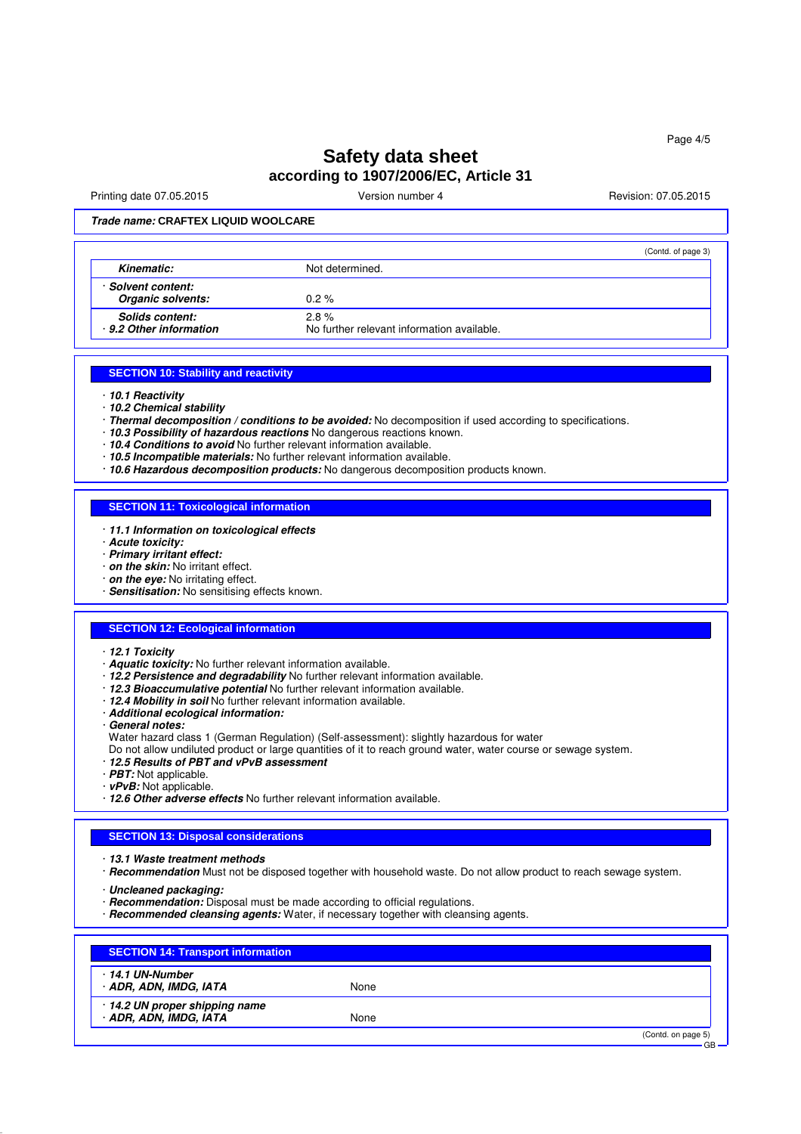# **Safety data sheet according to 1907/2006/EC, Article 31**

Printing date 07.05.2015 **Version number 4** Account 2008 2015 **Revision: 07.05.2015** 

### **Trade name: CRAFTEX LIQUID WOOLCARE**

|                                            | (Contd. of page 3)                                 |  |
|--------------------------------------------|----------------------------------------------------|--|
| Kinematic:                                 | Not determined.                                    |  |
| Solvent content:<br>Organic solvents:      | $0.2 \%$                                           |  |
| Solids content:<br>· 9.2 Other information | 2.8%<br>No further relevant information available. |  |

### **SECTION 10: Stability and reactivity**

- · **10.1 Reactivity**
- · **10.2 Chemical stability**
- · **Thermal decomposition / conditions to be avoided:** No decomposition if used according to specifications.
- · **10.3 Possibility of hazardous reactions** No dangerous reactions known.
- · **10.4 Conditions to avoid** No further relevant information available.
- · **10.5 Incompatible materials:** No further relevant information available.
- · **10.6 Hazardous decomposition products:** No dangerous decomposition products known.

### **SECTION 11: Toxicological information**

- · **11.1 Information on toxicological effects**
- · **Acute toxicity:**
- · **Primary irritant effect:**
- · **on the skin:** No irritant effect.
- · **on the eye:** No irritating effect.
- · **Sensitisation:** No sensitising effects known.

### **SECTION 12: Ecological information**

- · **12.1 Toxicity**
- · **Aquatic toxicity:** No further relevant information available.
- · **12.2 Persistence and degradability** No further relevant information available.
- · **12.3 Bioaccumulative potential** No further relevant information available.
- · **12.4 Mobility in soil** No further relevant information available.
- · **Additional ecological information:**
- · **General notes:**
- Water hazard class 1 (German Regulation) (Self-assessment): slightly hazardous for water
- Do not allow undiluted product or large quantities of it to reach ground water, water course or sewage system.
- · **12.5 Results of PBT and vPvB assessment**
- · **PBT:** Not applicable.
- · **vPvB:** Not applicable.
- · **12.6 Other adverse effects** No further relevant information available.

### **SECTION 13: Disposal considerations**

- · **13.1 Waste treatment methods**
- · **Recommendation** Must not be disposed together with household waste. Do not allow product to reach sewage system.

· **Uncleaned packaging:**

- · **Recommendation:** Disposal must be made according to official regulations.
- · **Recommended cleansing agents:** Water, if necessary together with cleansing agents.

| 14.1 UN-Number .             |      |  |
|------------------------------|------|--|
| · ADR, ADN, IMDG, IATA       | None |  |
| 14.2 UN proper shipping name |      |  |
| · ADR, ADN, IMDG, IATA       | None |  |